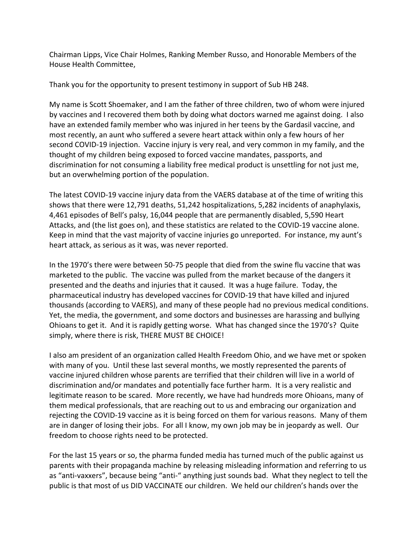Chairman Lipps, Vice Chair Holmes, Ranking Member Russo, and Honorable Members of the House Health Committee,

Thank you for the opportunity to present testimony in support of Sub HB 248.

My name is Scott Shoemaker, and I am the father of three children, two of whom were injured by vaccines and I recovered them both by doing what doctors warned me against doing. I also have an extended family member who was injured in her teens by the Gardasil vaccine, and most recently, an aunt who suffered a severe heart attack within only a few hours of her second COVID-19 injection. Vaccine injury is very real, and very common in my family, and the thought of my children being exposed to forced vaccine mandates, passports, and discrimination for not consuming a liability free medical product is unsettling for not just me, but an overwhelming portion of the population.

The latest COVID-19 vaccine injury data from the VAERS database at of the time of writing this shows that there were 12,791 deaths, 51,242 hospitalizations, 5,282 incidents of anaphylaxis, 4,461 episodes of Bell's palsy, 16,044 people that are permanently disabled, 5,590 Heart Attacks, and (the list goes on), and these statistics are related to the COVID-19 vaccine alone. Keep in mind that the vast majority of vaccine injuries go unreported. For instance, my aunt's heart attack, as serious as it was, was never reported.

In the 1970's there were between 50-75 people that died from the swine flu vaccine that was marketed to the public. The vaccine was pulled from the market because of the dangers it presented and the deaths and injuries that it caused. It was a huge failure. Today, the pharmaceutical industry has developed vaccines for COVID-19 that have killed and injured thousands (according to VAERS), and many of these people had no previous medical conditions. Yet, the media, the government, and some doctors and businesses are harassing and bullying Ohioans to get it. And it is rapidly getting worse. What has changed since the 1970's? Quite simply, where there is risk, THERE MUST BE CHOICE!

I also am president of an organization called Health Freedom Ohio, and we have met or spoken with many of you. Until these last several months, we mostly represented the parents of vaccine injured children whose parents are terrified that their children will live in a world of discrimination and/or mandates and potentially face further harm. It is a very realistic and legitimate reason to be scared. More recently, we have had hundreds more Ohioans, many of them medical professionals, that are reaching out to us and embracing our organization and rejecting the COVID-19 vaccine as it is being forced on them for various reasons. Many of them are in danger of losing their jobs. For all I know, my own job may be in jeopardy as well. Our freedom to choose rights need to be protected.

For the last 15 years or so, the pharma funded media has turned much of the public against us parents with their propaganda machine by releasing misleading information and referring to us as "anti-vaxxers", because being "anti-" anything just sounds bad. What they neglect to tell the public is that most of us DID VACCINATE our children. We held our children's hands over the